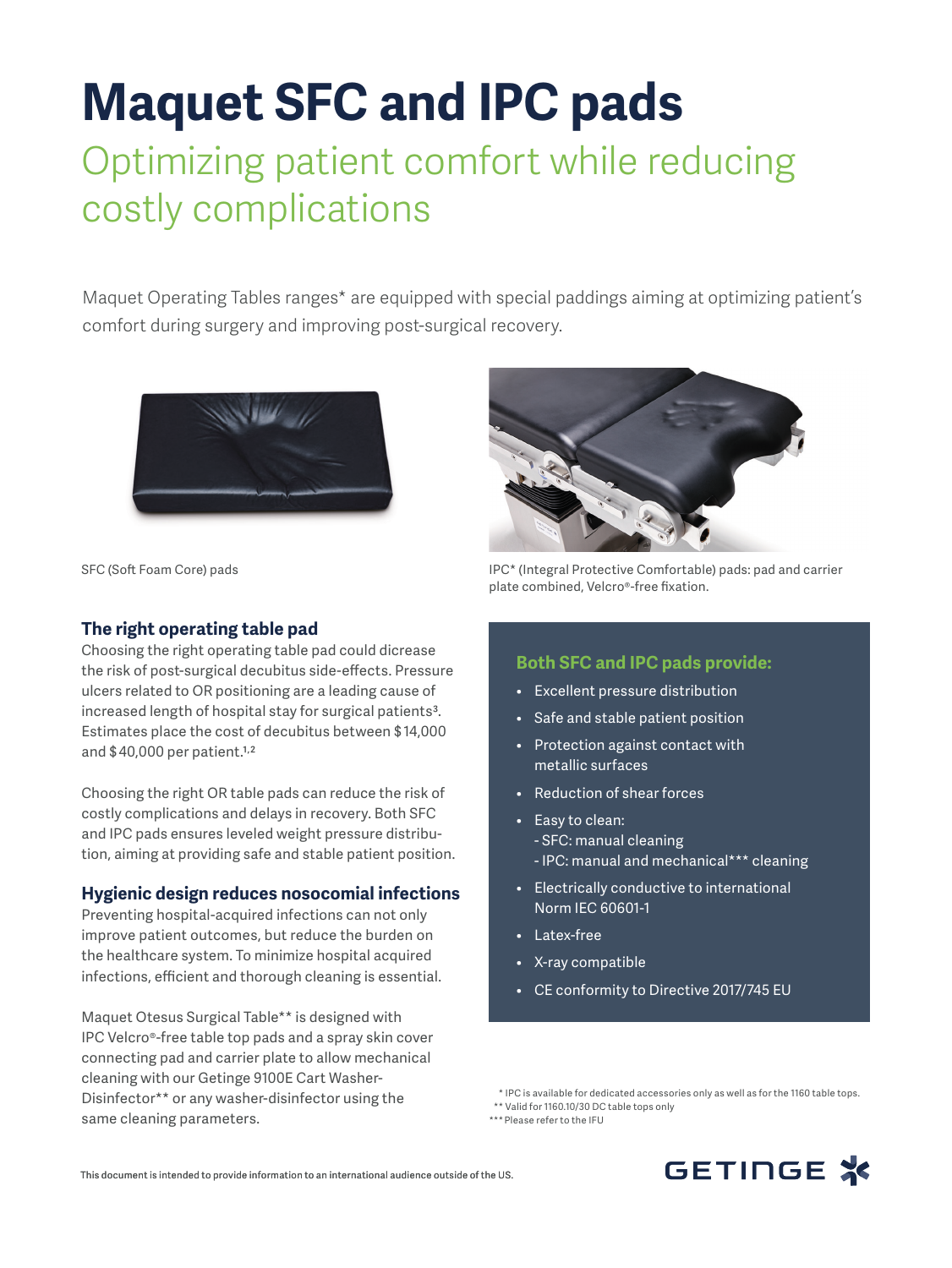# **Maquet SFC and IPC pads**

## Optimizing patient comfort while reducing costly complications

Maquet Operating Tables ranges\* are equipped with special paddings aiming at optimizing patient's comfort during surgery and improving post-surgical recovery.



SFC (Soft Foam Core) pads

### **The right operating table pad**

Choosing the right operating table pad could dicrease the risk of post-surgical decubitus side-effects. Pressure ulcers related to OR positioning are a leading cause of increased length of hospital stay for surgical patients<sup>3</sup>. Estimates place the cost of decubitus between \$ 14,000 and \$ 40,000 per patient.1,2

Choosing the right OR table pads can reduce the risk of costly complications and delays in recovery. Both SFC and IPC pads ensures leveled weight pressure distribution, aiming at providing safe and stable patient position.

### **Hygienic design reduces nosocomial infections**

Preventing hospital-acquired infections can not only improve patient outcomes, but reduce the burden on the healthcare system. To minimize hospital acquired infections, efficient and thorough cleaning is essential.

Maquet Otesus Surgical Table\*\* is designed with IPC Velcro®-free table top pads and a spray skin cover connecting pad and carrier plate to allow mechanical cleaning with our Getinge 9100E Cart Washer-Disinfector\*\* or any washer-disinfector using the same cleaning parameters.



IPC\* (Integral Protective Comfortable) pads: pad and carrier plate combined, Velcro®-free fixation.

#### **Both SFC and IPC pads provide:**

- Excellent pressure distribution
- Safe and stable patient position
- Protection against contact with metallic surfaces
- Reduction of shear forces
- Easy to clean: - SFC: manual cleaning - IPC: manual and mechanical\*\*\* cleaning
- Electrically conductive to international Norm IEC 60601-1
- Latex-free
- X-ray compatible
- CE conformity to Directive 2017/745 EU

\*\*\* Please refer to the IFU



 <sup>\*</sup> IPC is available for dedicated accessories only as well as for the 1160 table tops.

<sup>\*\*</sup> Valid for 1160.10/30 DC table tops only